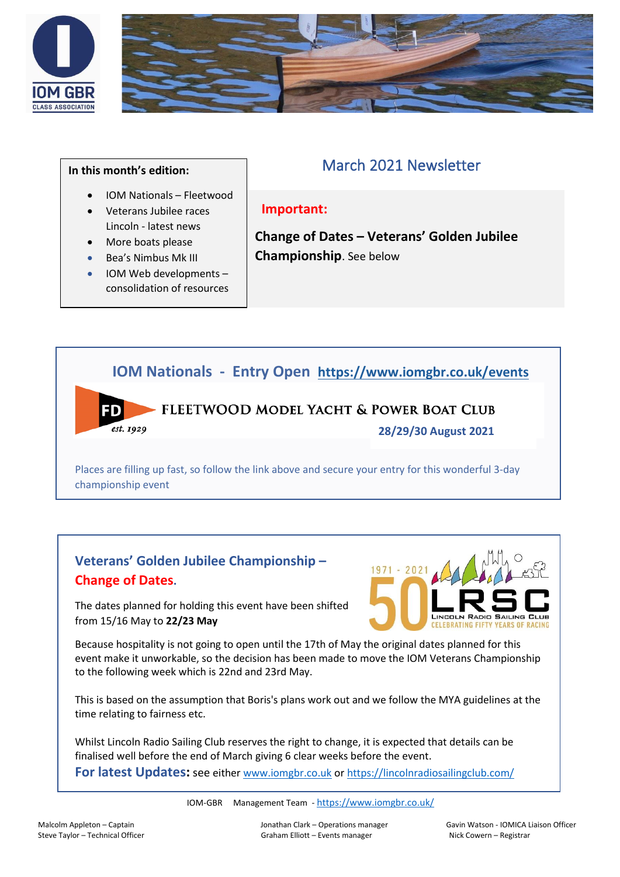



### **In this month's edition:**

FD

• IOM Nationals – Fleetwood • Veterans Jubilee races

> • IOM Web developments – consolidation of resources

Lincoln - latest news • More boats please • Bea's Nimbus Mk III

# March 2021 Newsletter

## **Important:**

**Change of Dates – Veterans' Golden Jubilee Championship**. See below

# **IOM Nationals - Entry Open <https://www.iomgbr.co.uk/events>**

## FLEETWOOD MODEL YACHT & POWER BOAT CLUB est. 1929

**28/29/30 August 2021**

Places are filling up fast, so follow the link above and secure your entry for this wonderful 3-day championship event

# **Veterans' Golden Jubilee Championship – Change of Dates.**

LINCOLN

The dates planned for holding this event have been shifted from 15/16 May to **22/23 May**

Because hospitality is not going to open until the 17th of May the original dates planned for this event make it unworkable, so the decision has been made to move the IOM Veterans Championship to the following week which is 22nd and 23rd May.

This is based on the assumption that Boris's plans work out and we follow the MYA guidelines at the time relating to fairness etc.

Whilst Lincoln Radio Sailing Club reserves the right to change, it is expected that details can be finalised well before the end of March giving 6 clear weeks before the event.

**For latest Updates:** see eithe[r www.iomgbr.co.uk](http://www.iomgbr.co.uk/) or<https://lincolnradiosailingclub.com/>

IOM-GBR Management Team - <https://www.iomgbr.co.uk/>

Malcolm Appleton – Captain Jonathan Clark – Operations manager Gavin Watson - IOMICA Liaison Officer Steve Taylor – Technical Officer etc. Compared Graham Elliott – Events manager Nick Cowern – Registrar Compare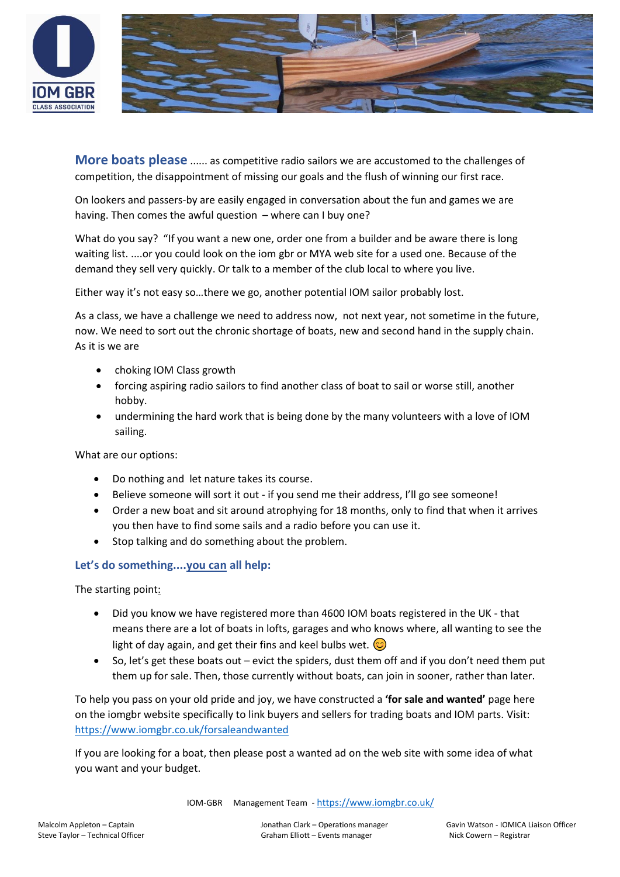



**More boats please** ...... as competitive radio sailors we are accustomed to the challenges of competition, the disappointment of missing our goals and the flush of winning our first race.

On lookers and passers-by are easily engaged in conversation about the fun and games we are having. Then comes the awful question – where can I buy one?

What do you say? "If you want a new one, order one from a builder and be aware there is long waiting list. ....or you could look on the iom gbr or MYA web site for a used one. Because of the demand they sell very quickly. Or talk to a member of the club local to where you live.

Either way it's not easy so…there we go, another potential IOM sailor probably lost.

As a class, we have a challenge we need to address now, not next year, not sometime in the future, now. We need to sort out the chronic shortage of boats, new and second hand in the supply chain. As it is we are

- choking IOM Class growth
- forcing aspiring radio sailors to find another class of boat to sail or worse still, another hobby.
- undermining the hard work that is being done by the many volunteers with a love of IOM sailing.

What are our options:

- Do nothing and let nature takes its course.
- Believe someone will sort it out if you send me their address, I'll go see someone!
- Order a new boat and sit around atrophying for 18 months, only to find that when it arrives you then have to find some sails and a radio before you can use it.
- Stop talking and do something about the problem.

### **Let's do something....you can all help:**

The starting point:

- Did you know we have registered more than 4600 IOM boats registered in the UK that means there are a lot of boats in lofts, garages and who knows where, all wanting to see the light of day again, and get their fins and keel bulbs wet.  $\odot$
- So, let's get these boats out evict the spiders, dust them off and if you don't need them put them up for sale. Then, those currently without boats, can join in sooner, rather than later.

To help you pass on your old pride and joy, we have constructed a **'for sale and wanted'** page here on the iomgbr website specifically to link buyers and sellers for trading boats and IOM parts. Visit: <https://www.iomgbr.co.uk/forsaleandwanted>

If you are looking for a boat, then please post a wanted ad on the web site with some idea of what you want and your budget.

IOM-GBR Management Team - <https://www.iomgbr.co.uk/>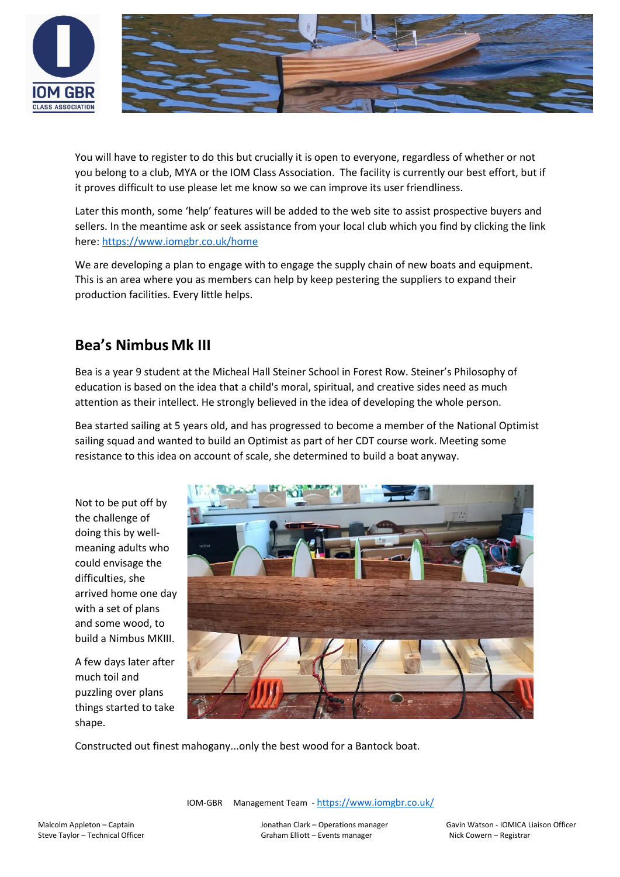



You will have to register to do this but crucially it is open to everyone, regardless of whether or not you belong to a club, MYA or the IOM Class Association. The facility is currently our best effort, but if it proves difficult to use please let me know so we can improve its user friendliness.

Later this month, some 'help' features will be added to the web site to assist prospective buyers and sellers. In the meantime ask or seek assistance from your local club which you find by clicking the link here:<https://www.iomgbr.co.uk/home>

We are developing a plan to engage with to engage the supply chain of new boats and equipment. This is an area where you as members can help by keep pestering the suppliers to expand their production facilities. Every little helps.

## **Bea's Nimbus Mk III**

Bea is a year 9 student at the Micheal Hall Steiner School in Forest Row. Steiner's Philosophy of education is based on the idea that a child's moral, spiritual, and creative sides need as much attention as their intellect. He strongly believed in the idea of developing the whole person.

Bea started sailing at 5 years old, and has progressed to become a member of the National Optimist sailing squad and wanted to build an Optimist as part of her CDT course work. Meeting some resistance to this idea on account of scale, she determined to build a boat anyway.

Not to be put off by the challenge of doing this by wellmeaning adults who could envisage the difficulties, she arrived home one day with a set of plans and some wood, to build a Nimbus MKIII.

A few days later after much toil and puzzling over plans things started to take shape.



Constructed out finest mahogany...only the best wood for a Bantock boat.

IOM-GBR Management Team - <https://www.iomgbr.co.uk/>